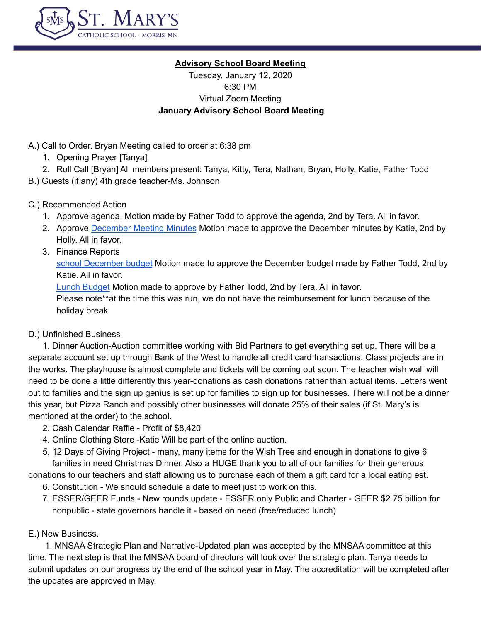

#### **Advisory School Board Meeting**

Tuesday, January 12, 2020 6:30 PM Virtual Zoom Meeting **January Advisory School Board Meeting**

- A.) Call to Order. Bryan Meeting called to order at 6:38 pm
	- 1. Opening Prayer [Tanya]
	- 2. Roll Call [Bryan] All members present: Tanya, Kitty, Tera, Nathan, Bryan, Holly, Katie, Father Todd
- B.) Guests (if any) 4th grade teacher-Ms. Johnson

# C.) Recommended Action

- 1. Approve agenda. Motion made by Father Todd to approve the agenda, 2nd by Tera. All in favor.
- 2. Approve [December](https://docs.google.com/document/d/14U3fboMpmsloXLX9B8jZ2krmTLj0KI6Dahs4tVi5VA0/edit) Meeting Minutes Motion made to approve the December minutes by Katie, 2nd by Holly. All in favor.
- 3. Finance Reports

school [December](https://docs.google.com/spreadsheets/d/17JV_KgPcffycc3Mz7rGthbXnH6oGGO6aUt91_eOq23E/edit#gid=1466642820) budget Motion made to approve the December budget made by Father Todd, 2nd by Katie. All in favor.

Lunch [Budget](https://docs.google.com/spreadsheets/d/1f_dWnr8DH68zaXR8akzPczf_kDYyqPB8BgrOmTsJI-c/edit#gid=783464097) Motion made to approve by Father Todd, 2nd by Tera. All in favor.

Please note\*\*at the time this was run, we do not have the reimbursement for lunch because of the holiday break

# D.) Unfinished Business

1. Dinner Auction-Auction committee working with Bid Partners to get everything set up. There will be a separate account set up through Bank of the West to handle all credit card transactions. Class projects are in the works. The playhouse is almost complete and tickets will be coming out soon. The teacher wish wall will need to be done a little differently this year-donations as cash donations rather than actual items. Letters went out to families and the sign up genius is set up for families to sign up for businesses. There will not be a dinner this year, but Pizza Ranch and possibly other businesses will donate 25% of their sales (if St. Mary's is mentioned at the order) to the school.

- 2. Cash Calendar Raffle Profit of \$8,420
- 4. Online Clothing Store -Katie Will be part of the online auction.
- 5. 12 Days of Giving Project many, many items for the Wish Tree and enough in donations to give 6 families in need Christmas Dinner. Also a HUGE thank you to all of our families for their generous

donations to our teachers and staff allowing us to purchase each of them a gift card for a local eating est.

6. Constitution - We should schedule a date to meet just to work on this.

7. ESSER/GEER Funds - New rounds update - ESSER only Public and Charter - GEER \$2.75 billion for nonpublic - state governors handle it - based on need (free/reduced lunch)

#### E.) New Business.

1. MNSAA Strategic Plan and Narrative-Updated plan was accepted by the MNSAA committee at this time. The next step is that the MNSAA board of directors will look over the strategic plan. Tanya needs to submit updates on our progress by the end of the school year in May. The accreditation will be completed after the updates are approved in May.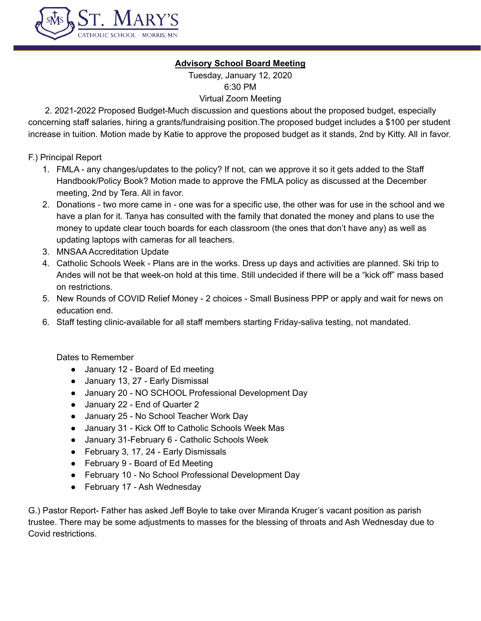

# **Advisory School Board Meeting**

Tuesday, January 12, 2020 6:30 PM Virtual Zoom Meeting

2. 2021-2022 Proposed Budget-Much discussion and questions about the proposed budget, especially concerning staff salaries, hiring a grants/fundraising position.The proposed budget includes a \$100 per student increase in tuition. Motion made by Katie to approve the proposed budget as it stands, 2nd by Kitty. All in favor.

F.) Principal Report

- 1. FMLA any changes/updates to the policy? If not, can we approve it so it gets added to the Staff Handbook/Policy Book? Motion made to approve the FMLA policy as discussed at the December meeting, 2nd by Tera. All in favor.
- 2. Donations two more came in one was for a specific use, the other was for use in the school and we have a plan for it. Tanya has consulted with the family that donated the money and plans to use the money to update clear touch boards for each classroom (the ones that don't have any) as well as updating laptops with cameras for all teachers.
- 3. MNSAA Accreditation Update
- 4. Catholic Schools Week Plans are in the works. Dress up days and activities are planned. Ski trip to Andes will not be that week-on hold at this time. Still undecided if there will be a "kick off" mass based on restrictions.
- 5. New Rounds of COVID Relief Money 2 choices Small Business PPP or apply and wait for news on education end.
- 6. Staff testing clinic-available for all staff members starting Friday-saliva testing, not mandated.

Dates to Remember

- January 12 Board of Ed meeting
- January 13, 27 Early Dismissal
- January 20 NO SCHOOL Professional Development Day
- January 22 End of Quarter 2
- January 25 No School Teacher Work Day
- January 31 Kick Off to Catholic Schools Week Mas
- January 31-February 6 Catholic Schools Week
- February 3, 17, 24 Early Dismissals
- February 9 Board of Ed Meeting
- February 10 No School Professional Development Day
- February 17 Ash Wednesday

G.) Pastor Report- Father has asked Jeff Boyle to take over Miranda Kruger's vacant position as parish trustee. There may be some adjustments to masses for the blessing of throats and Ash Wednesday due to Covid restrictions.